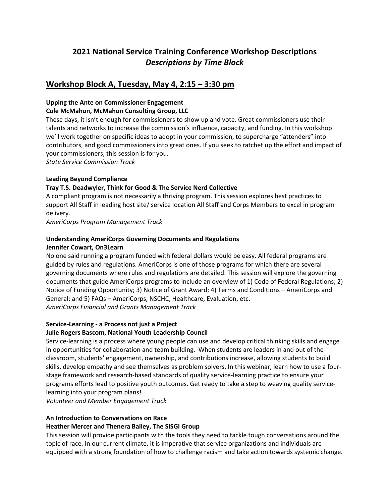# **2021 National Service Training Conference Workshop Descriptions** *Descriptions by Time Block*

# **Workshop Block A, Tuesday, May 4, 2:15 – 3:30 pm**

## **Upping the Ante on Commissioner Engagement**

### **Cole McMahon, McMahon Consulting Group, LLC**

These days, it isn't enough for commissioners to show up and vote. Great commissioners use their talents and networks to increase the commission's influence, capacity, and funding. In this workshop we'll work together on specific ideas to adopt in your commission, to supercharge "attenders" into contributors, and good commissioners into great ones. If you seek to ratchet up the effort and impact of your commissioners, this session is for you.

*State Service Commission Track*

# **Leading Beyond Compliance**

## **Tray T.S. Deadwyler, Think for Good & The Service Nerd Collective**

A compliant program is not necessarily a thriving program. This session explores best practices to support All Staff in leading host site/ service location All Staff and Corps Members to excel in program delivery.

*AmeriCorps Program Management Track*

#### **Understanding AmeriCorps Governing Documents and Regulations Jennifer Cowart, On3Learn**

No one said running a program funded with federal dollars would be easy. All federal programs are guided by rules and regulations. AmeriCorps is one of those programs for which there are several governing documents where rules and regulations are detailed. This session will explore the governing documents that guide AmeriCorps programs to include an overview of 1) Code of Federal Regulations; 2) Notice of Funding Opportunity; 3) Notice of Grant Award; 4) Terms and Conditions – AmeriCorps and General; and 5) FAQs – AmeriCorps, NSCHC, Healthcare, Evaluation, etc. *AmeriCorps Financial and Grants Management Track*

# **Service-Learning - a Process not just a Project**

# **Julie Rogers Bascom, National Youth Leadership Council**

Service-learning is a process where young people can use and develop critical thinking skills and engage in opportunities for collaboration and team building. When students are leaders in and out of the classroom, students' engagement, ownership, and contributions increase, allowing students to build skills, develop empathy and see themselves as problem solvers. In this webinar, learn how to use a fourstage framework and research-based standards of quality service-learning practice to ensure your programs efforts lead to positive youth outcomes. Get ready to take a step to weaving quality servicelearning into your program plans!

*Volunteer and Member Engagement Track*

# **An Introduction to Conversations on Race**

#### **Heather Mercer and Thenera Bailey, The SISGI Group**

This session will provide participants with the tools they need to tackle tough conversations around the topic of race. In our current climate, it is imperative that service organizations and individuals are equipped with a strong foundation of how to challenge racism and take action towards systemic change.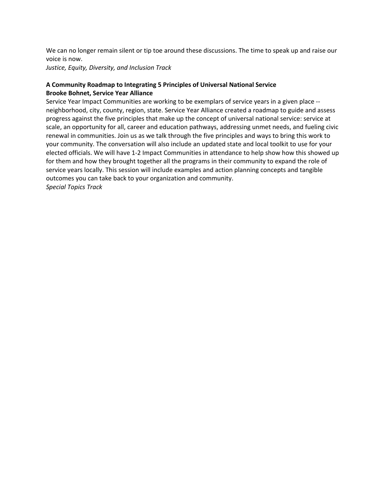We can no longer remain silent or tip toe around these discussions. The time to speak up and raise our voice is now.

*Justice, Equity, Diversity, and Inclusion Track* 

# **A Community Roadmap to Integrating 5 Principles of Universal National Service Brooke Bohnet, Service Year Alliance**

Service Year Impact Communities are working to be exemplars of service years in a given place - neighborhood, city, county, region, state. Service Year Alliance created a roadmap to guide and assess progress against the five principles that make up the concept of universal national service: service at scale, an opportunity for all, career and education pathways, addressing unmet needs, and fueling civic renewal in communities. Join us as we talk through the five principles and ways to bring this work to your community. The conversation will also include an updated state and local toolkit to use for your elected officials. We will have 1-2 Impact Communities in attendance to help show how this showed up for them and how they brought together all the programs in their community to expand the role of service years locally. This session will include examples and action planning concepts and tangible outcomes you can take back to your organization and community. *Special Topics Track*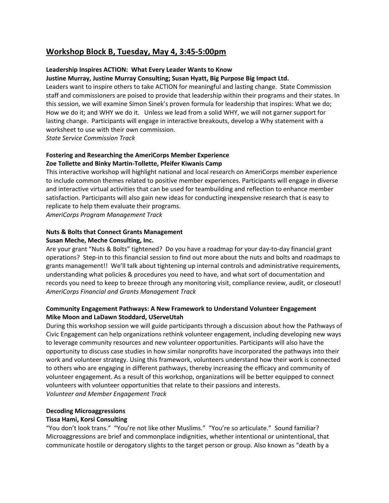# **Workshop Block B, Tuesday, May 4, 3:45-5:00pm**

## **Leadership Inspires ACTION: What Every Leader Wants to Know**

### **Justine Murray, Justine Murray Consulting; Susan Hyatt, Big Purpose Big Impact Ltd.**

Leaders want to inspire others to take ACTION for meaningful and lasting change. State Commission staff and commissioners are poised to provide that leadership within their programs and their states. In this session, we will examine Simon Sinek's proven formula for leadership that inspires: What we do; How we do it; and WHY we do it. Unless we lead from a solid WHY, we will not garner support for lasting change. Participants will engage in interactive breakouts, develop a Why statement with a worksheet to use with their own commission.

*State Service Commission Track*

## **Fostering and Researching the AmeriCorps Member Experience Zoe Tollette and Binky Martin-Tollette, Pfeifer Kiwanis Camp**

This interactive workshop will highlight national and local research on AmeriCorps member experience to include common themes related to positive member experiences. Participants will engage in diverse and interactive virtual activities that can be used for teambuilding and reflection to enhance member satisfaction. Participants will also gain new ideas for conducting inexpensive research that is easy to replicate to help them evaluate their programs.

*AmeriCorps Program Management Track*

## **Nuts & Bolts that Connect Grants Management Susan Meche, Meche Consulting, Inc.**

Are your grant "Nuts & Bolts" tightened? Do you have a roadmap for your day-to-day financial grant operations? Step-in to this financial session to find out more about the nuts and bolts and roadmaps to grants management!! We'll talk about tightening up internal controls and administrative requirements, understanding what policies & procedures you need to have, and what sort of documentation and records you need to keep to breeze through any monitoring visit, compliance review, audit, or closeout! *AmeriCorps Financial and Grants Management Track*

## **Community Engagement Pathways: A New Framework to Understand Volunteer Engagement Mike Moon and LaDawn Stoddard, UServeUtah**

During this workshop session we will guide participants through a discussion about how the Pathways of Civic Engagement can help organizations rethink volunteer engagement, including developing new ways to leverage community resources and new volunteer opportunities. Participants will also have the opportunity to discuss case studies in how similar nonprofits have incorporated the pathways into their work and volunteer strategy. Using this framework, volunteers understand how their work is connected to others who are engaging in different pathways, thereby increasing the efficacy and community of volunteer engagement. As a result of this workshop, organizations will be better equipped to connect volunteers with volunteer opportunities that relate to their passions and interests. *Volunteer and Member Engagement Track*

#### **Decoding Microaggressions**

#### **Tissa Hami, Korsi Consulting**

"You don't look trans." "You're not like other Muslims." "You're so articulate." Sound familiar? Microaggressions are brief and commonplace indignities, whether intentional or unintentional, that communicate hostile or derogatory slights to the target person or group. Also known as "death by a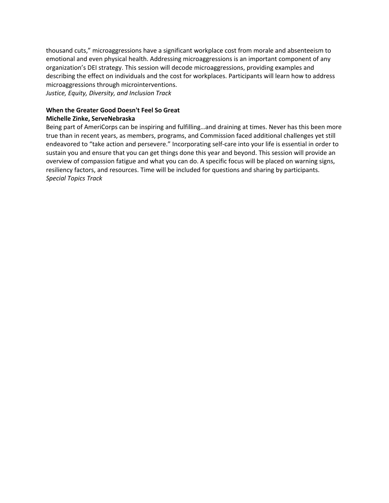thousand cuts," microaggressions have a significant workplace cost from morale and absenteeism to emotional and even physical health. Addressing microaggressions is an important component of any organization's DEI strategy. This session will decode microaggressions, providing examples and describing the effect on individuals and the cost for workplaces. Participants will learn how to address microaggressions through microinterventions. *Justice, Equity, Diversity, and Inclusion Track* 

**When the Greater Good Doesn't Feel So Great**

#### **Michelle Zinke, ServeNebraska**

Being part of AmeriCorps can be inspiring and fulfilling…and draining at times. Never has this been more true than in recent years, as members, programs, and Commission faced additional challenges yet still endeavored to "take action and persevere." Incorporating self-care into your life is essential in order to sustain you and ensure that you can get things done this year and beyond. This session will provide an overview of compassion fatigue and what you can do. A specific focus will be placed on warning signs, resiliency factors, and resources. Time will be included for questions and sharing by participants. *Special Topics Track*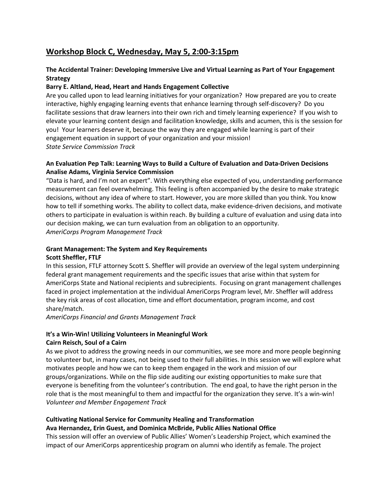# **Workshop Block C, Wednesday, May 5, 2:00-3:15pm**

# **The Accidental Trainer: Developing Immersive Live and Virtual Learning as Part of Your Engagement Strategy**

## **Barry E. Altland, Head, Heart and Hands Engagement Collective**

Are you called upon to lead learning initiatives for your organization? How prepared are you to create interactive, highly engaging learning events that enhance learning through self-discovery? Do you facilitate sessions that draw learners into their own rich and timely learning experience? If you wish to elevate your learning content design and facilitation knowledge, skills and acumen, this is the session for you! Your learners deserve it, because the way they are engaged while learning is part of their engagement equation in support of your organization and your mission! *State Service Commission Track*

## **An Evaluation Pep Talk: Learning Ways to Build a Culture of Evaluation and Data-Driven Decisions Analise Adams, Virginia Service Commission**

"Data is hard, and I'm not an expert". With everything else expected of you, understanding performance measurement can feel overwhelming. This feeling is often accompanied by the desire to make strategic decisions, without any idea of where to start. However, you are more skilled than you think. You know how to tell if something works. The ability to collect data, make evidence-driven decisions, and motivate others to participate in evaluation is within reach. By building a culture of evaluation and using data into our decision making, we can turn evaluation from an obligation to an opportunity. *AmeriCorps Program Management Track*

#### **Grant Management: The System and Key Requirements Scott Sheffler, FTLF**

In this session, FTLF attorney Scott S. Sheffler will provide an overview of the legal system underpinning federal grant management requirements and the specific issues that arise within that system for AmeriCorps State and National recipients and subrecipients. Focusing on grant management challenges faced in project implementation at the individual AmeriCorps Program level, Mr. Sheffler will address the key risk areas of cost allocation, time and effort documentation, program income, and cost share/match.

*AmeriCorps Financial and Grants Management Track*

#### **It's a Win-Win! Utilizing Volunteers in Meaningful Work Cairn Reisch, Soul of a Cairn**

As we pivot to address the growing needs in our communities, we see more and more people beginning to volunteer but, in many cases, not being used to their full abilities. In this session we will explore what motivates people and how we can to keep them engaged in the work and mission of our groups/organizations. While on the flip side auditing our existing opportunities to make sure that everyone is benefiting from the volunteer's contribution. The end goal, to have the right person in the role that is the most meaningful to them and impactful for the organization they serve. It's a win-win! *Volunteer and Member Engagement Track*

# **Cultivating National Service for Community Healing and Transformation**

#### **Ava Hernandez, Erin Guest, and Dominica McBride, Public Allies National Office**

This session will offer an overview of Public Allies' Women's Leadership Project, which examined the impact of our AmeriCorps apprenticeship program on alumni who identify as female. The project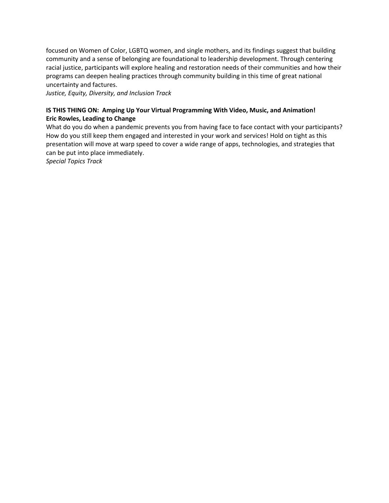focused on Women of Color, LGBTQ women, and single mothers, and its findings suggest that building community and a sense of belonging are foundational to leadership development. Through centering racial justice, participants will explore healing and restoration needs of their communities and how their programs can deepen healing practices through community building in this time of great national uncertainty and factures.

*Justice, Equity, Diversity, and Inclusion Track*

## **IS THIS THING ON: Amping Up Your Virtual Programming With Video, Music, and Animation! Eric Rowles, Leading to Change**

What do you do when a pandemic prevents you from having face to face contact with your participants? How do you still keep them engaged and interested in your work and services! Hold on tight as this presentation will move at warp speed to cover a wide range of apps, technologies, and strategies that can be put into place immediately.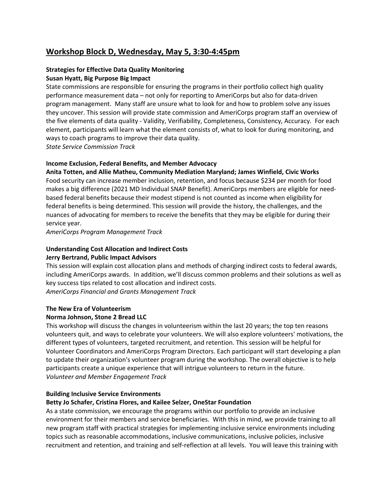# **Workshop Block D, Wednesday, May 5, 3:30-4:45pm**

# **Strategies for Effective Data Quality Monitoring Susan Hyatt, Big Purpose Big Impact**

State commissions are responsible for ensuring the programs in their portfolio collect high quality performance measurement data – not only for reporting to AmeriCorps but also for data-driven program management. Many staff are unsure what to look for and how to problem solve any issues they uncover. This session will provide state commission and AmeriCorps program staff an overview of the five elements of data quality - Validity, Verifiability, Completeness, Consistency, Accuracy. For each element, participants will learn what the element consists of, what to look for during monitoring, and ways to coach programs to improve their data quality.

*State Service Commission Track*

#### **Income Exclusion, Federal Benefits, and Member Advocacy**

**Anita Totten, and Allie Matheu, Community Mediation Maryland; James Winfield, Civic Works**

Food security can increase member inclusion, retention, and focus because \$234 per month for food makes a big difference (2021 MD Individual SNAP Benefit). AmeriCorps members are eligible for needbased federal benefits because their modest stipend is not counted as income when eligibility for federal benefits is being determined. This session will provide the history, the challenges, and the nuances of advocating for members to receive the benefits that they may be eligible for during their service year.

*AmeriCorps Program Management Track*

# **Understanding Cost Allocation and Indirect Costs Jerry Bertrand, Public Impact Advisors**

This session will explain cost allocation plans and methods of charging indirect costs to federal awards, including AmeriCorps awards. In addition, we'll discuss common problems and their solutions as well as key success tips related to cost allocation and indirect costs. *AmeriCorps Financial and Grants Management Track*

# **The New Era of Volunteerism**

#### **Norma Johnson, Stone 2 Bread LLC**

This workshop will discuss the changes in volunteerism within the last 20 years; the top ten reasons volunteers quit, and ways to celebrate your volunteers. We will also explore volunteers' motivations, the different types of volunteers, targeted recruitment, and retention. This session will be helpful for Volunteer Coordinators and AmeriCorps Program Directors. Each participant will start developing a plan to update their organization's volunteer program during the workshop. The overall objective is to help participants create a unique experience that will intrigue volunteers to return in the future. *Volunteer and Member Engagement Track*

#### **Building Inclusive Service Environments**

#### **Betty Jo Schafer, Cristina Flores, and Kailee Selzer, OneStar Foundation**

As a state commission, we encourage the programs within our portfolio to provide an inclusive environment for their members and service beneficiaries. With this in mind, we provide training to all new program staff with practical strategies for implementing inclusive service environments including topics such as reasonable accommodations, inclusive communications, inclusive policies, inclusive recruitment and retention, and training and self-reflection at all levels. You will leave this training with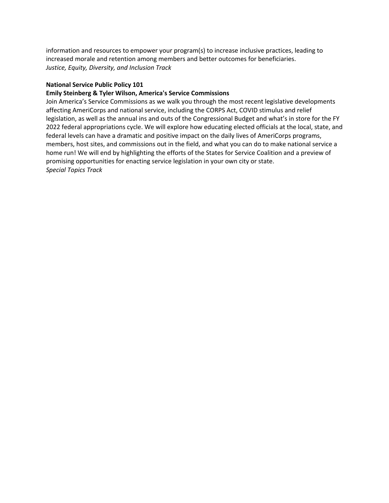information and resources to empower your program(s) to increase inclusive practices, leading to increased morale and retention among members and better outcomes for beneficiaries. *Justice, Equity, Diversity, and Inclusion Track* 

#### **National Service Public Policy 101**

#### **Emily Steinberg & Tyler Wilson, America's Service Commissions**

Join America's Service Commissions as we walk you through the most recent legislative developments affecting AmeriCorps and national service, including the CORPS Act, COVID stimulus and relief legislation, as well as the annual ins and outs of the Congressional Budget and what's in store for the FY 2022 federal appropriations cycle. We will explore how educating elected officials at the local, state, and federal levels can have a dramatic and positive impact on the daily lives of AmeriCorps programs, members, host sites, and commissions out in the field, and what you can do to make national service a home run! We will end by highlighting the efforts of the States for Service Coalition and a preview of promising opportunities for enacting service legislation in your own city or state. *Special Topics Track*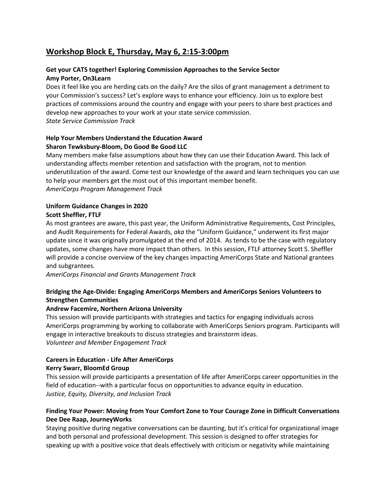# **Workshop Block E, Thursday, May 6, 2:15-3:00pm**

# **Get your CATS together! Exploring Commission Approaches to the Service Sector Amy Porter, On3Learn**

Does it feel like you are herding cats on the daily? Are the silos of grant management a detriment to your Commission's success? Let's explore ways to enhance your efficiency. Join us to explore best practices of commissions around the country and engage with your peers to share best practices and develop new approaches to your work at your state service commission. *State Service Commission Track*

## **Help Your Members Understand the Education Award Sharon Tewksbury-Bloom, Do Good Be Good LLC**

Many members make false assumptions about how they can use their Education Award. This lack of understanding affects member retention and satisfaction with the program, not to mention underutilization of the award. Come test our knowledge of the award and learn techniques you can use to help your members get the most out of this important member benefit. *AmeriCorps Program Management Track*

### **Uniform Guidance Changes in 2020 Scott Sheffler, FTLF**

As most grantees are aware, this past year, the Uniform Administrative Requirements, Cost Principles, and Audit Requirements for Federal Awards, *aka* the "Uniform Guidance," underwent its first major update since it was originally promulgated at the end of 2014. As tends to be the case with regulatory updates, some changes have more impact than others. In this session, FTLF attorney Scott S. Sheffler will provide a concise overview of the key changes impacting AmeriCorps State and National grantees and subgrantees.

*AmeriCorps Financial and Grants Management Track*

# **Bridging the Age-Divide: Engaging AmeriCorps Members and AmeriCorps Seniors Volunteers to Strengthen Communities**

# **Andrew Facemire, Northern Arizona University**

This session will provide participants with strategies and tactics for engaging individuals across AmeriCorps programming by working to collaborate with AmeriCorps Seniors program. Participants will engage in interactive breakouts to discuss strategies and brainstorm ideas. *Volunteer and Member Engagement Track*

# **Careers in Education - Life After AmeriCorps Kerry Swarr, BloomEd Group**

This session will provide participants a presentation of life after AmeriCorps career opportunities in the field of education--with a particular focus on opportunities to advance equity in education. *Justice, Equity, Diversity, and Inclusion Track* 

# **Finding Your Power: Moving from Your Comfort Zone to Your Courage Zone in Difficult Conversations Dee Dee Raap, JourneyWorks**

Staying positive during negative conversations can be daunting, but it's critical for organizational image and both personal and professional development. This session is designed to offer strategies for speaking up with a positive voice that deals effectively with criticism or negativity while maintaining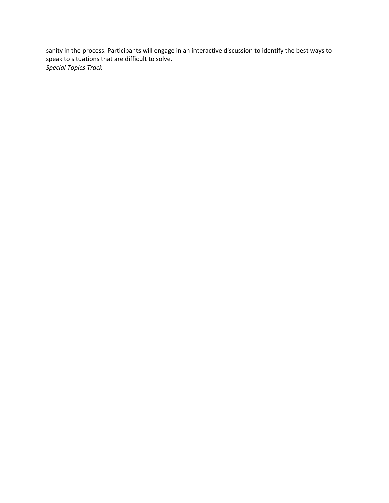sanity in the process. Participants will engage in an interactive discussion to identify the best ways to speak to situations that are difficult to solve. *Special Topics Track*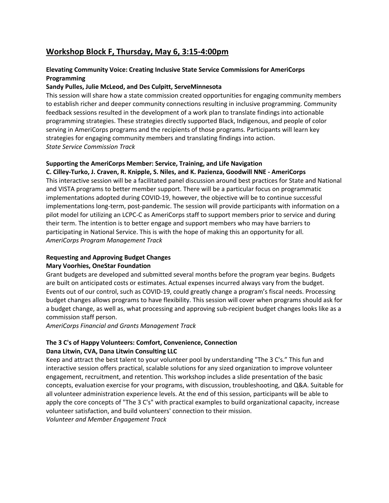# **Workshop Block F, Thursday, May 6, 3:15-4:00pm**

# **Elevating Community Voice: Creating Inclusive State Service Commissions for AmeriCorps Programming**

## **Sandy Pulles, Julie McLeod, and Des Culpitt, ServeMinnesota**

This session will share how a state commission created opportunities for engaging community members to establish richer and deeper community connections resulting in inclusive programming. Community feedback sessions resulted in the development of a work plan to translate findings into actionable programming strategies. These strategies directly supported Black, Indigenous, and people of color serving in AmeriCorps programs and the recipients of those programs. Participants will learn key strategies for engaging community members and translating findings into action. *State Service Commission Track*

## **Supporting the AmeriCorps Member: Service, Training, and Life Navigation**

#### **C. Cilley-Turko, J. Craven, R. Knipple, S. Niles, and K. Pazienza, Goodwill NNE - AmeriCorps**

This interactive session will be a facilitated panel discussion around best practices for State and National and VISTA programs to better member support. There will be a particular focus on programmatic implementations adopted during COVID-19, however, the objective will be to continue successful implementations long-term, post-pandemic. The session will provide participants with information on a pilot model for utilizing an LCPC-C as AmeriCorps staff to support members prior to service and during their term. The intention is to better engage and support members who may have barriers to participating in National Service. This is with the hope of making this an opportunity for all. *AmeriCorps Program Management Track*

#### **Requesting and Approving Budget Changes Mary Voorhies, OneStar Foundation**

Grant budgets are developed and submitted several months before the program year begins. Budgets are built on anticipated costs or estimates. Actual expenses incurred always vary from the budget. Events out of our control, such as COVID-19, could greatly change a program's fiscal needs. Processing budget changes allows programs to have flexibility. This session will cover when programs should ask for a budget change, as well as, what processing and approving sub-recipient budget changes looks like as a commission staff person.

*AmeriCorps Financial and Grants Management Track*

# **The 3 C's of Happy Volunteers: Comfort, Convenience, Connection Dana Litwin, CVA, Dana Litwin Consulting LLC**

Keep and attract the best talent to your volunteer pool by understanding "The 3 C's." This fun and interactive session offers practical, scalable solutions for any sized organization to improve volunteer engagement, recruitment, and retention. This workshop includes a slide presentation of the basic concepts, evaluation exercise for your programs, with discussion, troubleshooting, and Q&A. Suitable for all volunteer administration experience levels. At the end of this session, participants will be able to apply the core concepts of "The 3 C's" with practical examples to build organizational capacity, increase volunteer satisfaction, and build volunteers' connection to their mission. *Volunteer and Member Engagement Track*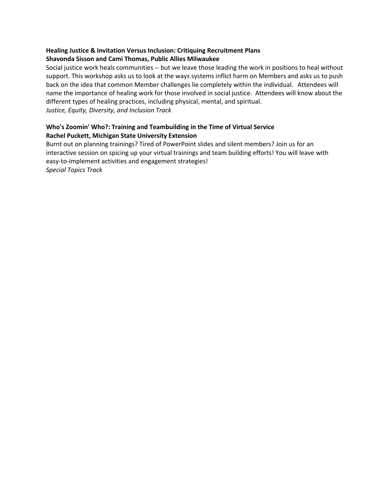# **Healing Justice & Invitation Versus Inclusion: Critiquing Recruitment Plans Shavonda Sisson and Cami Thomas, Public Allies Milwaukee**

Social justice work heals communities -- but we leave those leading the work in positions to heal without support. This workshop asks us to look at the ways systems inflict harm on Members and asks us to push back on the idea that common Member challenges lie completely within the individual. Attendees will name the importance of healing work for those involved in social justice. Attendees will know about the different types of healing practices, including physical, mental, and spiritual. *Justice, Equity, Diversity, and Inclusion Track* 

## **Who's Zoomin' Who?: Training and Teambuilding in the Time of Virtual Service Rachel Puckett, Michigan State University Extension**

Burnt out on planning trainings? Tired of PowerPoint slides and silent members? Join us for an interactive session on spicing up your virtual trainings and team building efforts! You will leave with easy-to-implement activities and engagement strategies!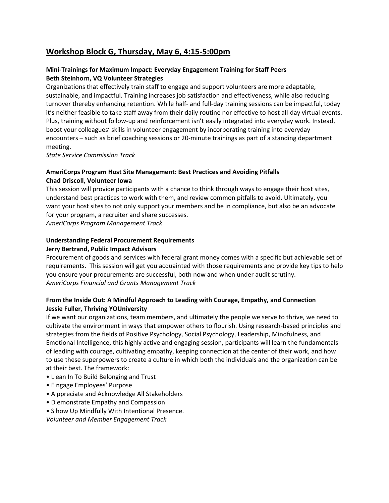# **Workshop Block G, Thursday, May 6, 4:15-5:00pm**

## **Mini-Trainings for Maximum Impact: Everyday Engagement Training for Staff Peers Beth Steinhorn, VQ Volunteer Strategies**

Organizations that effectively train staff to engage and support volunteers are more adaptable, sustainable, and impactful. Training increases job satisfaction and effectiveness, while also reducing turnover thereby enhancing retention. While half- and full-day training sessions can be impactful, today it's neither feasible to take staff away from their daily routine nor effective to host all-day virtual events. Plus, training without follow-up and reinforcement isn't easily integrated into everyday work. Instead, boost your colleagues' skills in volunteer engagement by incorporating training into everyday encounters – such as brief coaching sessions or 20-minute trainings as part of a standing department meeting.

*State Service Commission Track*

## **AmeriCorps Program Host Site Management: Best Practices and Avoiding Pitfalls Chad Driscoll, Volunteer Iowa**

This session will provide participants with a chance to think through ways to engage their host sites, understand best practices to work with them, and review common pitfalls to avoid. Ultimately, you want your host sites to not only support your members and be in compliance, but also be an advocate for your program, a recruiter and share successes.

*AmeriCorps Program Management Track*

#### **Understanding Federal Procurement Requirements**

#### **Jerry Bertrand, Public Impact Advisors**

Procurement of goods and services with federal grant money comes with a specific but achievable set of requirements. This session will get you acquainted with those requirements and provide key tips to help you ensure your procurements are successful, both now and when under audit scrutiny. *AmeriCorps Financial and Grants Management Track*

## **From the Inside Out: A Mindful Approach to Leading with Courage, Empathy, and Connection Jessie Fuller, Thriving YOUniversity**

If we want our organizations, team members, and ultimately the people we serve to thrive, we need to cultivate the environment in ways that empower others to flourish. Using research-based principles and strategies from the fields of Positive Psychology, Social Psychology, Leadership, Mindfulness, and Emotional Intelligence, this highly active and engaging session, participants will learn the fundamentals of leading with courage, cultivating empathy, keeping connection at the center of their work, and how to use these superpowers to create a culture in which both the individuals and the organization can be at their best. The framework:

- L ean In To Build Belonging and Trust
- E ngage Employees' Purpose
- A ppreciate and Acknowledge All Stakeholders
- D emonstrate Empathy and Compassion
- S how Up Mindfully With Intentional Presence.

*Volunteer and Member Engagement Track*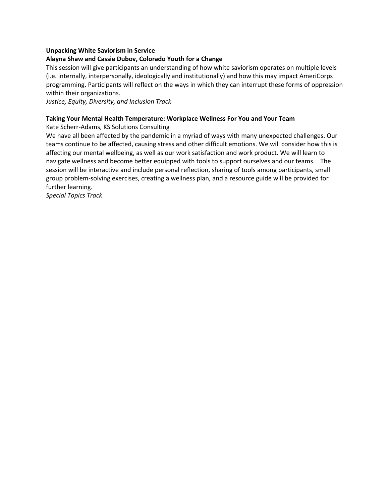#### **Unpacking White Saviorism in Service**

#### **Alayna Shaw and Cassie Dubov, Colorado Youth for a Change**

This session will give participants an understanding of how white saviorism operates on multiple levels (i.e. internally, interpersonally, ideologically and institutionally) and how this may impact AmeriCorps programming. Participants will reflect on the ways in which they can interrupt these forms of oppression within their organizations.

*Justice, Equity, Diversity, and Inclusion Track* 

#### **Taking Your Mental Health Temperature: Workplace Wellness For You and Your Team**

Kate Scherr-Adams, KS Solutions Consulting

We have all been affected by the pandemic in a myriad of ways with many unexpected challenges. Our teams continue to be affected, causing stress and other difficult emotions. We will consider how this is affecting our mental wellbeing, as well as our work satisfaction and work product. We will learn to navigate wellness and become better equipped with tools to support ourselves and our teams. The session will be interactive and include personal reflection, sharing of tools among participants, small group problem-solving exercises, creating a wellness plan, and a resource guide will be provided for further learning.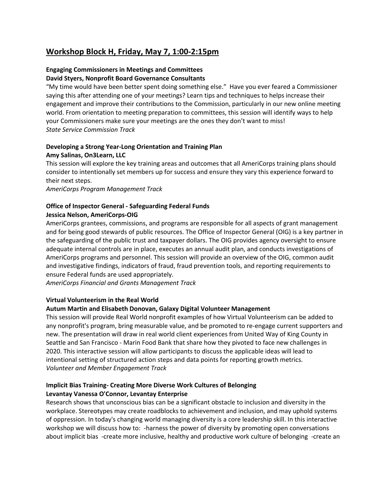# **Workshop Block H, Friday, May 7, 1:00-2:15pm**

## **Engaging Commissioners in Meetings and Committees David Styers, Nonprofit Board Governance Consultants**

"My time would have been better spent doing something else." Have you ever feared a Commissioner saying this after attending one of your meetings? Learn tips and techniques to helps increase their engagement and improve their contributions to the Commission, particularly in our new online meeting world. From orientation to meeting preparation to committees, this session will identify ways to help your Commissioners make sure your meetings are the ones they don't want to miss! *State Service Commission Track*

# **Developing a Strong Year-Long Orientation and Training Plan Amy Salinas, On3Learn, LLC**

This session will explore the key training areas and outcomes that all AmeriCorps training plans should consider to intentionally set members up for success and ensure they vary this experience forward to their next steps.

*AmeriCorps Program Management Track*

### **Office of Inspector General - Safeguarding Federal Funds Jessica Nelson, AmeriCorps-OIG**

AmeriCorps grantees, commissions, and programs are responsible for all aspects of grant management and for being good stewards of public resources. The Office of Inspector General (OIG) is a key partner in the safeguarding of the public trust and taxpayer dollars. The OIG provides agency oversight to ensure adequate internal controls are in place, executes an annual audit plan, and conducts investigations of AmeriCorps programs and personnel. This session will provide an overview of the OIG, common audit and investigative findings, indicators of fraud, fraud prevention tools, and reporting requirements to ensure Federal funds are used appropriately.

*AmeriCorps Financial and Grants Management Track*

#### **Virtual Volunteerism in the Real World**

# **Autum Martin and Elisabeth Donovan, Galaxy Digital Volunteer Management**

This session will provide Real World nonprofit examples of how Virtual Volunteerism can be added to any nonprofit's program, bring measurable value, and be promoted to re-engage current supporters and new. The presentation will draw in real world client experiences from United Way of King County in Seattle and San Francisco - Marin Food Bank that share how they pivoted to face new challenges in 2020. This interactive session will allow participants to discuss the applicable ideas will lead to intentional setting of structured action steps and data points for reporting growth metrics. *Volunteer and Member Engagement Track*

## **Implicit Bias Training- Creating More Diverse Work Cultures of Belonging Levantay Vanessa O'Connor, Levantay Enterprise**

Research shows that unconscious bias can be a significant obstacle to inclusion and diversity in the workplace. Stereotypes may create roadblocks to achievement and inclusion, and may uphold systems of oppression. In today's changing world managing diversity is a core leadership skill. In this interactive workshop we will discuss how to: -harness the power of diversity by promoting open conversations about implicit bias -create more inclusive, healthy and productive work culture of belonging -create an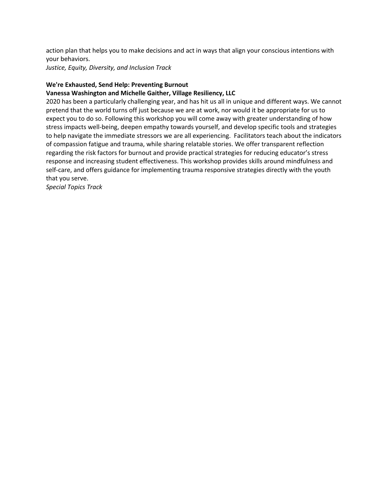action plan that helps you to make decisions and act in ways that align your conscious intentions with your behaviors.

*Justice, Equity, Diversity, and Inclusion Track* 

### **We're Exhausted, Send Help: Preventing Burnout**

### **Vanessa Washington and Michelle Gaither, Village Resiliency, LLC**

2020 has been a particularly challenging year, and has hit us all in unique and different ways. We cannot pretend that the world turns off just because we are at work, nor would it be appropriate for us to expect you to do so. Following this workshop you will come away with greater understanding of how stress impacts well-being, deepen empathy towards yourself, and develop specific tools and strategies to help navigate the immediate stressors we are all experiencing. Facilitators teach about the indicators of compassion fatigue and trauma, while sharing relatable stories. We offer transparent reflection regarding the risk factors for burnout and provide practical strategies for reducing educator's stress response and increasing student effectiveness. This workshop provides skills around mindfulness and self-care, and offers guidance for implementing trauma responsive strategies directly with the youth that you serve.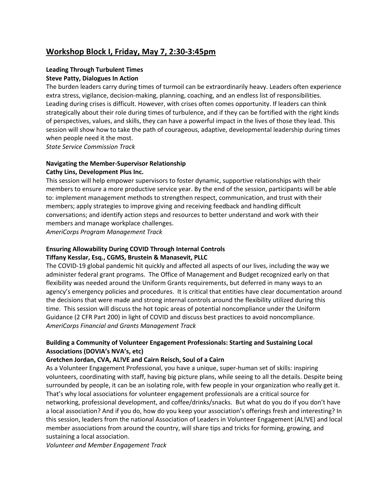# **Workshop Block I, Friday, May 7, 2:30-3:45pm**

# **Leading Through Turbulent Times Steve Patty, Dialogues In Action**

The burden leaders carry during times of turmoil can be extraordinarily heavy. Leaders often experience extra stress, vigilance, decision-making, planning, coaching, and an endless list of responsibilities. Leading during crises is difficult. However, with crises often comes opportunity. If leaders can think strategically about their role during times of turbulence, and if they can be fortified with the right kinds of perspectives, values, and skills, they can have a powerful impact in the lives of those they lead. This session will show how to take the path of courageous, adaptive, developmental leadership during times when people need it the most.

*State Service Commission Track*

#### **Navigating the Member-Supervisor Relationship Cathy Lins, Development Plus Inc.**

This session will help empower supervisors to foster dynamic, supportive relationships with their members to ensure a more productive service year. By the end of the session, participants will be able to: implement management methods to strengthen respect, communication, and trust with their members; apply strategies to improve giving and receiving feedback and handling difficult conversations; and identify action steps and resources to better understand and work with their members and manage workplace challenges.

*AmeriCorps Program Management Track*

### **Ensuring Allowability During COVID Through Internal Controls Tiffany Kesslar, Esq., CGMS, Brustein & Manasevit, PLLC**

The COVID-19 global pandemic hit quickly and affected all aspects of our lives, including the way we administer federal grant programs. The Office of Management and Budget recognized early on that flexibility was needed around the Uniform Grants requirements, but deferred in many ways to an agency's emergency policies and procedures. It is critical that entities have clear documentation around the decisions that were made and strong internal controls around the flexibility utilized during this time. This session will discuss the hot topic areas of potential noncompliance under the Uniform Guidance (2 CFR Part 200) in light of COVID and discuss best practices to avoid noncompliance. *AmeriCorps Financial and Grants Management Track*

## **Building a Community of Volunteer Engagement Professionals: Starting and Sustaining Local Associations (DOVIA's NVA's, etc)**

# **Gretchen Jordan, CVA, AL!VE and Cairn Reisch, Soul of a Cairn**

As a Volunteer Engagement Professional, you have a unique, super-human set of skills: inspiring volunteers, coordinating with staff, having big picture plans, while seeing to all the details. Despite being surrounded by people, it can be an isolating role, with few people in your organization who really get it. That's why local associations for volunteer engagement professionals are a critical source for networking, professional development, and coffee/drinks/snacks. But what do you do if you don't have a local association? And if you do, how do you keep your association's offerings fresh and interesting? In this session, leaders from the national Association of Leaders in Volunteer Engagement (AL!VE) and local member associations from around the country, will share tips and tricks for forming, growing, and sustaining a local association.

*Volunteer and Member Engagement Track*